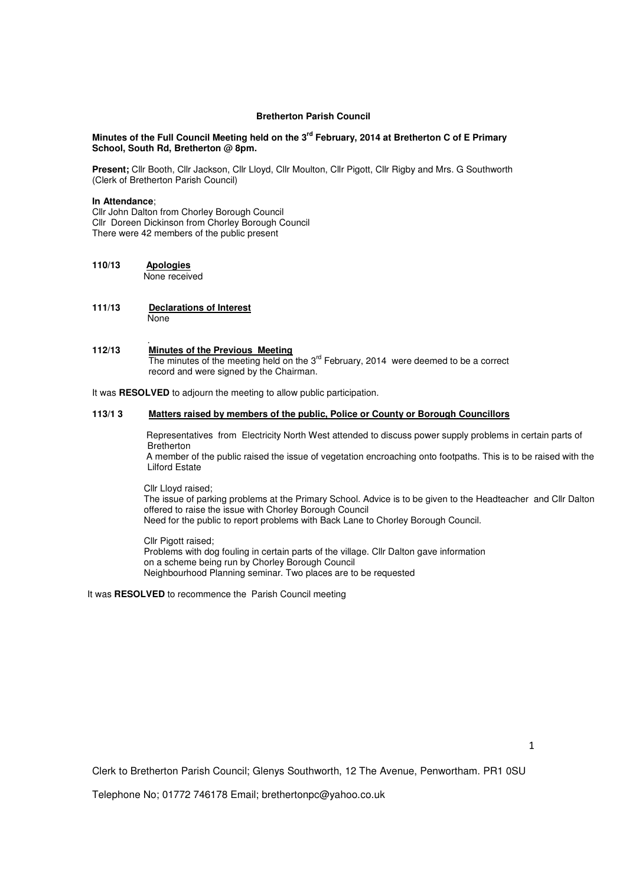## **Bretherton Parish Council**

## **Minutes of the Full Council Meeting held on the 3rd February, 2014 at Bretherton C of E Primary School, South Rd, Bretherton @ 8pm.**

**Present;** Cllr Booth, Cllr Jackson, Cllr Lloyd, Cllr Moulton, Cllr Pigott, Cllr Rigby and Mrs. G Southworth (Clerk of Bretherton Parish Council)

## **In Attendance**;

Cllr John Dalton from Chorley Borough Council Cllr Doreen Dickinson from Chorley Borough Council There were 42 members of the public present

- **110/13 Apologies** None received
- **111/13 Declarations of Interest None**

## . **112/13 Minutes of the Previous Meeting** The minutes of the meeting held on the 3<sup>rd</sup> February, 2014 were deemed to be a correct record and were signed by the Chairman.

It was **RESOLVED** to adjourn the meeting to allow public participation.

## **113/1 3 Matters raised by members of the public, Police or County or Borough Councillors**

 Representatives from Electricity North West attended to discuss power supply problems in certain parts of Bretherton

 A member of the public raised the issue of vegetation encroaching onto footpaths. This is to be raised with the Lilford Estate

Cllr Lloyd raised;

 The issue of parking problems at the Primary School. Advice is to be given to the Headteacher and Cllr Dalton offered to raise the issue with Chorley Borough Council Need for the public to report problems with Back Lane to Chorley Borough Council.

Cllr Pigott raised: Problems with dog fouling in certain parts of the village. Cllr Dalton gave information on a scheme being run by Chorley Borough Council Neighbourhood Planning seminar. Two places are to be requested

It was **RESOLVED** to recommence the Parish Council meeting

Clerk to Bretherton Parish Council; Glenys Southworth, 12 The Avenue, Penwortham. PR1 0SU

Telephone No; 01772 746178 Email; brethertonpc@yahoo.co.uk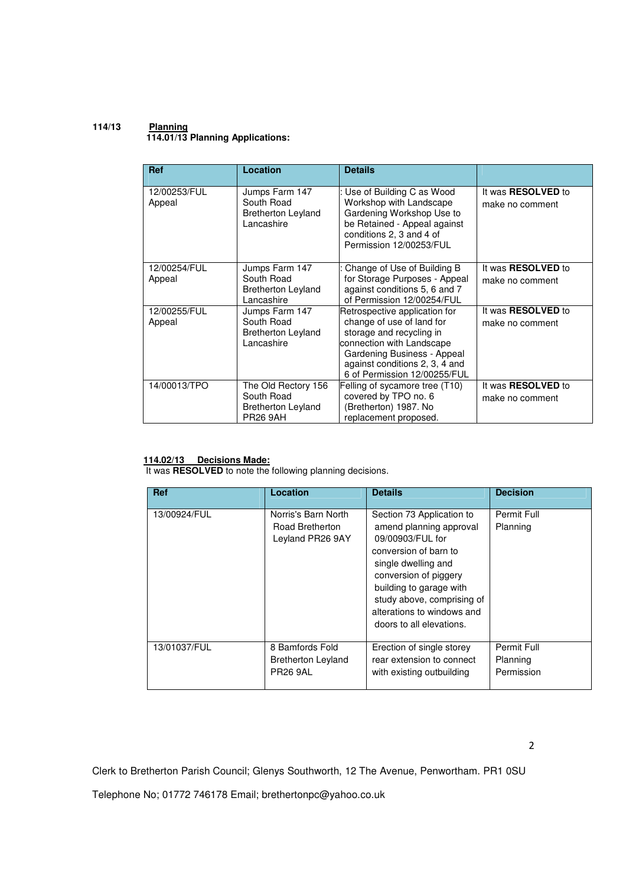## **114/13 Planning 114.01/13 Planning Applications:**

| <b>Ref</b>             | Location                                                                          | <b>Details</b>                                                                                                                                                                                                       |                                              |
|------------------------|-----------------------------------------------------------------------------------|----------------------------------------------------------------------------------------------------------------------------------------------------------------------------------------------------------------------|----------------------------------------------|
| 12/00253/FUL<br>Appeal | Jumps Farm 147<br>South Road<br><b>Bretherton Leyland</b><br>Lancashire           | : Use of Building C as Wood<br>Workshop with Landscape<br>Gardening Workshop Use to<br>be Retained - Appeal against<br>conditions 2, 3 and 4 of<br>Permission 12/00253/FUL                                           | It was <b>RESOLVED</b> to<br>make no comment |
| 12/00254/FUL<br>Appeal | Jumps Farm 147<br>South Road<br><b>Bretherton Leyland</b><br>Lancashire           | Change of Use of Building B<br>for Storage Purposes - Appeal<br>against conditions 5, 6 and 7<br>of Permission 12/00254/FUL                                                                                          | It was <b>RESOLVED</b> to<br>make no comment |
| 12/00255/FUL<br>Appeal | Jumps Farm 147<br>South Road<br><b>Bretherton Leyland</b><br>Lancashire           | Retrospective application for<br>change of use of land for<br>storage and recycling in<br>connection with Landscape<br>Gardening Business - Appeal<br>against conditions 2, 3, 4 and<br>6 of Permission 12/00255/FUL | It was <b>RESOLVED</b> to<br>make no comment |
| 14/00013/TPO           | The Old Rectory 156<br>South Road<br><b>Bretherton Leyland</b><br><b>PR26 9AH</b> | Felling of sycamore tree (T10)<br>covered by TPO no. 6<br>(Bretherton) 1987. No<br>replacement proposed.                                                                                                             | It was <b>RESOLVED</b> to<br>make no comment |

## **114.02/13 Decisions Made:**

It was **RESOLVED** to note the following planning decisions.

| <b>Ref</b>   | Location                                                        | <b>Details</b>                                                                                                                                                                                                                                                       | <b>Decision</b>                       |
|--------------|-----------------------------------------------------------------|----------------------------------------------------------------------------------------------------------------------------------------------------------------------------------------------------------------------------------------------------------------------|---------------------------------------|
| 13/00924/FUL | Norris's Barn North<br>Road Bretherton<br>Leyland PR26 9AY      | Section 73 Application to<br>amend planning approval<br>09/00903/FUL for<br>conversion of barn to<br>single dwelling and<br>conversion of piggery<br>building to garage with<br>study above, comprising of<br>alterations to windows and<br>doors to all elevations. | Permit Full<br>Planning               |
| 13/01037/FUL | 8 Bamfords Fold<br><b>Bretherton Leyland</b><br><b>PR26 9AL</b> | Erection of single storey<br>rear extension to connect<br>with existing outbuilding                                                                                                                                                                                  | Permit Full<br>Planning<br>Permission |

2

Clerk to Bretherton Parish Council; Glenys Southworth, 12 The Avenue, Penwortham. PR1 0SU

Telephone No; 01772 746178 Email; brethertonpc@yahoo.co.uk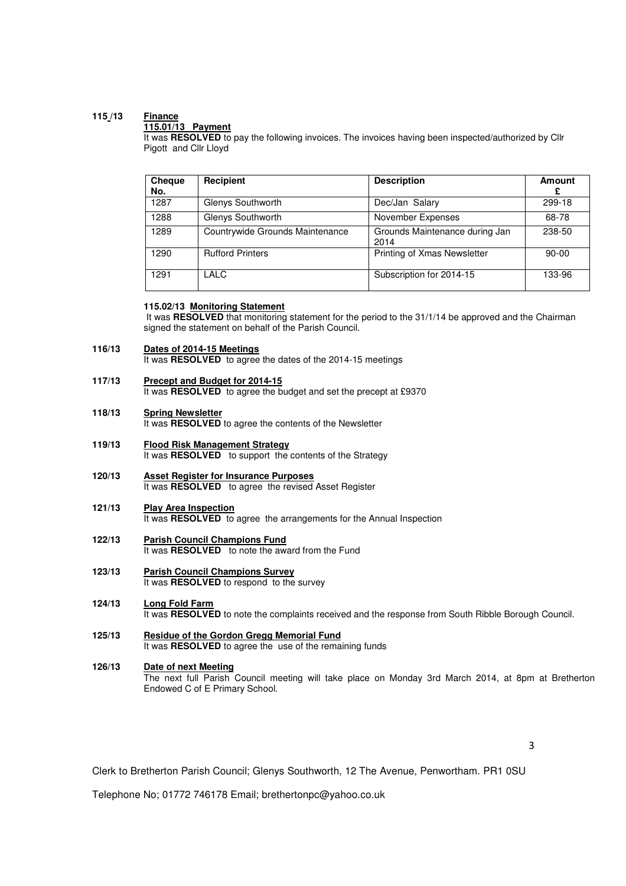# **115 /13 Finance**

## **115.01/13 Payment**

It was RESOLVED to pay the following invoices. The invoices having been inspected/authorized by Cllr Pigott and Cllr Lloyd

| <b>Cheque</b><br>No. | Recipient                       | <b>Description</b>                     | <b>Amount</b> |
|----------------------|---------------------------------|----------------------------------------|---------------|
| 1287                 | Glenys Southworth               | Dec/Jan Salary                         | 299-18        |
| 1288                 | Glenys Southworth               | November Expenses                      | 68-78         |
| 1289                 | Countrywide Grounds Maintenance | Grounds Maintenance during Jan<br>2014 | 238-50        |
| 1290                 | <b>Rufford Printers</b>         | Printing of Xmas Newsletter            | $90 - 00$     |
| 1291                 | LALC                            | Subscription for 2014-15               | 133-96        |

## **115.02/13 Monitoring Statement**

It was **RESOLVED** that monitoring statement for the period to the 31/1/14 be approved and the Chairman signed the statement on behalf of the Parish Council.

#### **116/13 Dates of 2014-15 Meetings**

It was **RESOLVED** to agree the dates of the 2014-15 meetings

- **117/13 Precept and Budget for 2014-15** It was **RESOLVED** to agree the budget and set the precept at £9370
- **118/13 Spring Newsletter** It was **RESOLVED** to agree the contents of the Newsletter
- **119/13 Flood Risk Management Strategy** It was **RESOLVED** to support the contents of the Strategy
- **120/13 Asset Register for Insurance Purposes** It was **RESOLVED** to agree the revised Asset Register
- **121/13 Play Area Inspection** It was **RESOLVED** to agree the arrangements for the Annual Inspection
- **122/13 Parish Council Champions Fund** It was **RESOLVED** to note the award from the Fund
- **123/13 Parish Council Champions Survey** It was **RESOLVED** to respond to the survey
- **124/13 Long Fold Farm** It was **RESOLVED** to note the complaints received and the response from South Ribble Borough Council.
- **125/13 Residue of the Gordon Gregg Memorial Fund** It was **RESOLVED** to agree the use of the remaining funds
- **126/13 Date of next Meeting** The next full Parish Council meeting will take place on Monday 3rd March 2014, at 8pm at Bretherton Endowed C of E Primary School.

3

Clerk to Bretherton Parish Council; Glenys Southworth, 12 The Avenue, Penwortham. PR1 0SU

Telephone No; 01772 746178 Email; brethertonpc@yahoo.co.uk